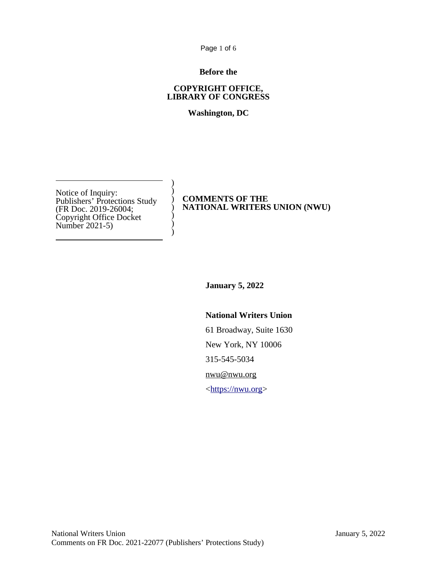Page 1 of 6

## **Before the**

### **COPYRIGHT OFFICE, LIBRARY OF CONGRESS**

# **Washington, DC**

) ) ) ) ) ) )

Notice of Inquiry: Publishers' Protections Study (FR Doc. 2019-26004; Copyright Office Docket Number 2021-5)

## **COMMENTS OF THE NATIONAL WRITERS UNION (NWU)**

**January 5, 2022**

## **National Writers Union**

61 Broadway, Suite 1630 New York, NY 10006 315-545-5034 [nwu@nwu.org](mailto:nwu@nwu.org)  $\langle \frac{https://nwu.org}{$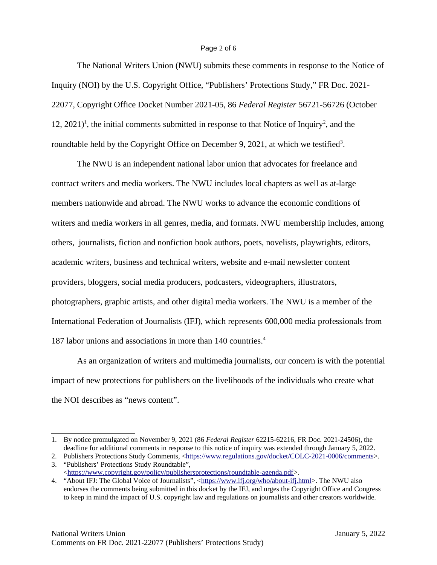### Page 2 of 6

The National Writers Union (NWU) submits these comments in response to the Notice of Inquiry (NOI) by the U.S. Copyright Office, "Publishers' Protections Study," FR Doc. 2021- 22077, Copyright Office Docket Number 2021-05, 86 *Federal Register* 56721-56726 (October [1](#page-1-0)[2](#page-1-1), 2021)<sup>1</sup>, the initial comments submitted in response to that Notice of Inquiry<sup>2</sup>, and the roundtable held by the Copyright Office on December 9, 2021, at which we testified<sup>[3](#page-1-2)</sup>.

The NWU is an independent national labor union that advocates for freelance and contract writers and media workers. The NWU includes local chapters as well as at-large members nationwide and abroad. The NWU works to advance the economic conditions of writers and media workers in all genres, media, and formats. NWU membership includes, among others, journalists, fiction and nonfiction book authors, poets, novelists, playwrights, editors, academic writers, business and technical writers, website and e-mail newsletter content providers, bloggers, social media producers, podcasters, videographers, illustrators, photographers, graphic artists, and other digital media workers. The NWU is a member of the International Federation of Journalists (IFJ), which represents 600,000 media professionals from 187 labor unions and associations in more than 1[4](#page-1-3)0 countries.<sup>4</sup>

As an organization of writers and multimedia journalists, our concern is with the potential impact of new protections for publishers on the livelihoods of the individuals who create what the NOI describes as "news content".

<span id="page-1-0"></span><sup>1.</sup> By notice promulgated on November 9, 2021 (86 *Federal Register* 62215-62216, FR Doc. 2021-24506), the deadline for additional comments in response to this notice of inquiry was extended through January 5, 2022.

<span id="page-1-1"></span><sup>2.</sup> Publishers Protections Study Comments, [<https://www.regulations.gov/docket/COLC-2021-0006/comments>](https://www.regulations.gov/docket/COLC-2021-0006/comments). 3. "Publishers' Protections Study Roundtable",

<span id="page-1-2"></span><sup>&</sup>lt;[https://www.copyright.gov/policy/publishersprotections/roundtable-agenda.pdf>](https://www.copyright.gov/policy/publishersprotections/roundtable-agenda.pdf).

<span id="page-1-3"></span><sup>4. &</sup>quot;About IFJ: The Global Voice of Journalists", <[https://www.ifj.org/who/about-ifj.html>](https://www.ifj.org/who/about-ifj.html). The NWU also endorses the comments being submitted in this docket by the IFJ, and urges the Copyright Office and Congress to keep in mind the impact of U.S. copyright law and regulations on journalists and other creators worldwide.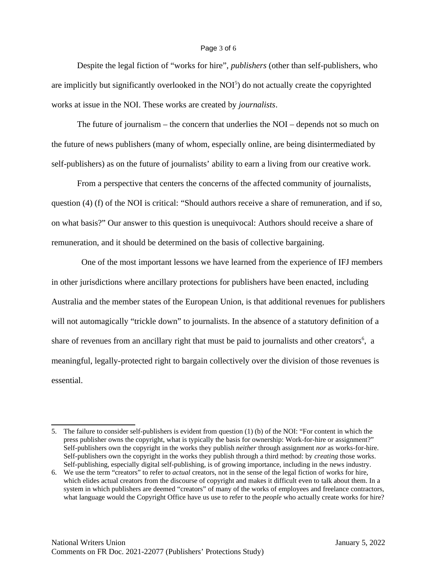#### Page 3 of 6

Despite the legal fiction of "works for hire", *publishers* (other than self-publishers, who are implicitly but significantly overlooked in the  $NOI<sup>5</sup>$  $NOI<sup>5</sup>$  $NOI<sup>5</sup>$ ) do not actually create the copyrighted works at issue in the NOI. These works are created by *journalists*.

The future of journalism – the concern that underlies the NOI – depends not so much on the future of news publishers (many of whom, especially online, are being disintermediated by self-publishers) as on the future of journalists' ability to earn a living from our creative work.

From a perspective that centers the concerns of the affected community of journalists, question (4) (f) of the NOI is critical: "Should authors receive a share of remuneration, and if so, on what basis?" Our answer to this question is unequivocal: Authors should receive a share of remuneration, and it should be determined on the basis of collective bargaining.

 One of the most important lessons we have learned from the experience of IFJ members in other jurisdictions where ancillary protections for publishers have been enacted, including Australia and the member states of the European Union, is that additional revenues for publishers will not automagically "trickle down" to journalists. In the absence of a statutory definition of a share of revenues from an ancillary right that must be paid to journalists and other creators<sup>[6](#page-2-1)</sup>, a meaningful, legally-protected right to bargain collectively over the division of those revenues is essential.

<span id="page-2-0"></span><sup>5.</sup> The failure to consider self-publishers is evident from question (1) (b) of the NOI: "For content in which the press publisher owns the copyright, what is typically the basis for ownership: Work-for-hire or assignment?" Self-publishers own the copyright in the works they publish *neither* through assignment *nor* as works-for-hire. Self-publishers own the copyright in the works they publish through a third method: by *creating* those works. Self-publishing, especially digital self-publishing, is of growing importance, including in the news industry.

<span id="page-2-1"></span><sup>6.</sup> We use the term "creators" to refer to *actual* creators, not in the sense of the legal fiction of works for hire, which elides actual creators from the discourse of copyright and makes it difficult even to talk about them. In a system in which publishers are deemed "creators" of many of the works of employees and freelance contractors, what language would the Copyright Office have us use to refer to the *people* who actually create works for hire?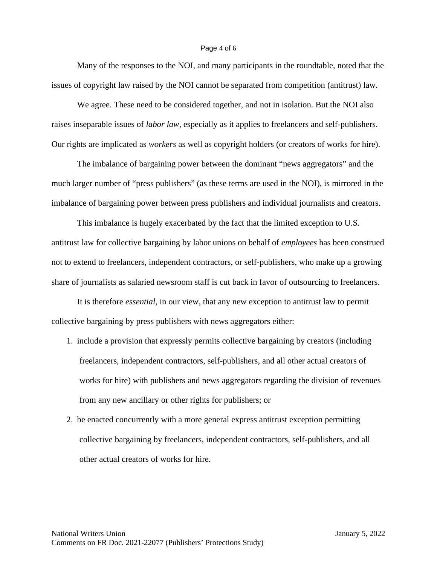#### Page 4 of 6

Many of the responses to the NOI, and many participants in the roundtable, noted that the issues of copyright law raised by the NOI cannot be separated from competition (antitrust) law.

We agree. These need to be considered together, and not in isolation. But the NOI also raises inseparable issues of *labor law*, especially as it applies to freelancers and self-publishers. Our rights are implicated as *workers* as well as copyright holders (or creators of works for hire).

The imbalance of bargaining power between the dominant "news aggregators" and the much larger number of "press publishers" (as these terms are used in the NOI), is mirrored in the imbalance of bargaining power between press publishers and individual journalists and creators.

This imbalance is hugely exacerbated by the fact that the limited exception to U.S. antitrust law for collective bargaining by labor unions on behalf of *employees* has been construed not to extend to freelancers, independent contractors, or self-publishers, who make up a growing share of journalists as salaried newsroom staff is cut back in favor of outsourcing to freelancers.

It is therefore *essential*, in our view, that any new exception to antitrust law to permit collective bargaining by press publishers with news aggregators either:

- 1. include a provision that expressly permits collective bargaining by creators (including freelancers, independent contractors, self-publishers, and all other actual creators of works for hire) with publishers and news aggregators regarding the division of revenues from any new ancillary or other rights for publishers; or
- 2. be enacted concurrently with a more general express antitrust exception permitting collective bargaining by freelancers, independent contractors, self-publishers, and all other actual creators of works for hire.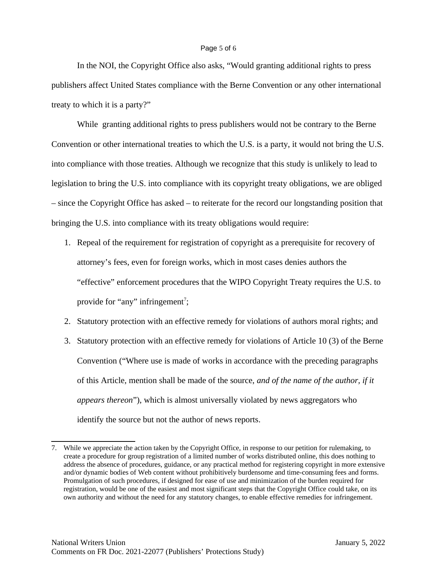### Page 5 of 6

In the NOI, the Copyright Office also asks, "Would granting additional rights to press publishers affect United States compliance with the Berne Convention or any other international treaty to which it is a party?"

While granting additional rights to press publishers would not be contrary to the Berne Convention or other international treaties to which the U.S. is a party, it would not bring the U.S. into compliance with those treaties. Although we recognize that this study is unlikely to lead to legislation to bring the U.S. into compliance with its copyright treaty obligations, we are obliged – since the Copyright Office has asked – to reiterate for the record our longstanding position that bringing the U.S. into compliance with its treaty obligations would require:

- 1. Repeal of the requirement for registration of copyright as a prerequisite for recovery of attorney's fees, even for foreign works, which in most cases denies authors the "effective" enforcement procedures that the WIPO Copyright Treaty requires the U.S. to provide for "any" infringement<sup>[7](#page-4-0)</sup>;
- 2. Statutory protection with an effective remedy for violations of authors moral rights; and
- 3. Statutory protection with an effective remedy for violations of Article 10 (3) of the Berne Convention ("Where use is made of works in accordance with the preceding paragraphs of this Article, mention shall be made of the source, *and of the name of the author, if it appears thereon*"), which is almost universally violated by news aggregators who identify the source but not the author of news reports.

<span id="page-4-0"></span><sup>7.</sup> While we appreciate the action taken by the Copyright Office, in response to our petition for rulemaking, to create a procedure for group registration of a limited number of works distributed online, this does nothing to address the absence of procedures, guidance, or any practical method for registering copyright in more extensive and/or dynamic bodies of Web content without prohibitively burdensome and time-consuming fees and forms. Promulgation of such procedures, if designed for ease of use and minimization of the burden required for registration, would be one of the easiest and most significant steps that the Copyright Office could take, on its own authority and without the need for any statutory changes, to enable effective remedies for infringement.